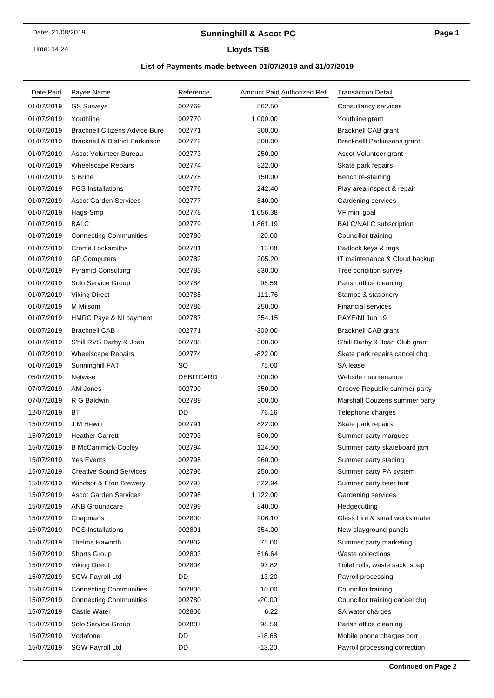# **Sunninghill & Ascot PC**

Time: 14:24

# **Lloyds TSB**

# **List of Payments made between 01/07/2019 and 31/07/2019**

| Date Paid  | Payee Name                                | Reference        | Amount Paid Authorized Ref | <b>Transaction Detail</b>          |
|------------|-------------------------------------------|------------------|----------------------------|------------------------------------|
| 01/07/2019 | <b>GS Surveys</b>                         | 002769           | 562.50                     | Consultancy services               |
| 01/07/2019 | Youthline                                 | 002770           | 1,000.00                   | Youthline grant                    |
| 01/07/2019 | <b>Bracknell Citizens Advice Bure</b>     | 002771           | 300.00                     | <b>Bracknell CAB grant</b>         |
| 01/07/2019 | <b>Bracknell &amp; District Parkinson</b> | 002772           | 500.00                     | <b>Bracknelll Parkinsons grant</b> |
| 01/07/2019 | Ascot Volunteer Bureau                    | 002773           | 250.00                     | Ascot Volunteer grant              |
| 01/07/2019 | <b>Wheelscape Repairs</b>                 | 002774           | 822.00                     | Skate park repairs                 |
| 01/07/2019 | S Brine                                   | 002775           | 150.00                     | Bench re-staining                  |
| 01/07/2019 | <b>PGS Installations</b>                  | 002776           | 242.40                     | Play area inspect & repair         |
| 01/07/2019 | <b>Ascot Garden Services</b>              | 002777           | 840.00                     | Gardening services                 |
| 01/07/2019 | Hags-Smp                                  | 002778           | 1,056.38                   | VF mini goal                       |
| 01/07/2019 | <b>BALC</b>                               | 002779           | 1,861.19                   | <b>BALC/NALC</b> subscription      |
| 01/07/2019 | <b>Connecting Communities</b>             | 002780           | 20.00                      | Councillor training                |
| 01/07/2019 | Croma Locksmiths                          | 002781           | 13.08                      | Padlock keys & tags                |
| 01/07/2019 | <b>GP Computers</b>                       | 002782           | 205.20                     | IT maintenance & Cloud backup      |
| 01/07/2019 | <b>Pyramid Consulting</b>                 | 002783           | 830.00                     | Tree condition survey              |
| 01/07/2019 | Solo Service Group                        | 002784           | 98.59                      | Parish office cleaning             |
| 01/07/2019 | <b>Viking Direct</b>                      | 002785           | 111.76                     | Stamps & stationery                |
| 01/07/2019 | M Milsom                                  | 002786           | 250.00                     | <b>Financial services</b>          |
| 01/07/2019 | HMRC Paye & NI payment                    | 002787           | 354.15                     | PAYE/NI Jun 19                     |
| 01/07/2019 | <b>Bracknell CAB</b>                      | 002771           | $-300.00$                  | <b>Bracknell CAB grant</b>         |
| 01/07/2019 | S'hill RVS Darby & Joan                   | 002788           | 300.00                     | S'hill Darby & Joan Club grant     |
| 01/07/2019 | <b>Wheelscape Repairs</b>                 | 002774           | $-822.00$                  | Skate park repairs cancel chq      |
| 01/07/2019 | Sunninghill FAT                           | SO               | 75.00                      | SA lease                           |
| 05/07/2019 | Netwise                                   | <b>DEBITCARD</b> | 300.00                     | Website maintenance                |
| 07/07/2019 | AM Jones                                  | 002790           | 350.00                     | Groove Republic summer party       |
| 07/07/2019 | R G Baldwin                               | 002789           | 300.00                     | Marshall Couzens summer party      |
| 12/07/2019 | <b>BT</b>                                 | DD               | 76.16                      | Telephone charges                  |
| 15/07/2019 | J M Hewitt                                | 002791           | 822.00                     | Skate park repairs                 |
| 15/07/2019 | <b>Heather Garrett</b>                    | 002793           | 500.00                     | Summer party marquee               |
| 15/07/2019 | <b>B McCammick-Copley</b>                 | 002794           | 124.50                     | Summer party skateboard jam        |
| 15/07/2019 | <b>Yes Events</b>                         | 002795           | 960.00                     | Summer party staging               |
| 15/07/2019 | <b>Creative Sound Services</b>            | 002796           | 250.00                     | Summer party PA system             |
| 15/07/2019 | Windsor & Eton Brewery                    | 002797           | 522.94                     | Summer party beer tent             |
| 15/07/2019 | <b>Ascot Garden Services</b>              | 002798           | 1,122.00                   | Gardening services                 |
| 15/07/2019 | <b>ANB Groundcare</b>                     | 002799           | 840.00                     | Hedgecutting                       |
| 15/07/2019 | Chapmans                                  | 002800           | 206.10                     | Glass hire & small works mater     |
| 15/07/2019 | <b>PGS</b> Installations                  | 002801           | 354.00                     | New playground panels              |
| 15/07/2019 | Thelma Haworth                            | 002802           | 75.00                      | Summer party marketing             |
| 15/07/2019 | Shorts Group                              | 002803           | 616.64                     | Waste collections                  |
| 15/07/2019 | <b>Viking Direct</b>                      | 002804           | 97.82                      | Toilet rolls, waste sack, soap     |
| 15/07/2019 | <b>SGW Payroll Ltd</b>                    | DD               | 13.20                      | Payroll processing                 |
| 15/07/2019 | <b>Connecting Communities</b>             | 002805           | 10.00                      | Councillor training                |
| 15/07/2019 | <b>Connecting Communities</b>             | 002780           | $-20.00$                   | Councillor training cancel chq     |
| 15/07/2019 | Castle Water                              | 002806           | 6.22                       | SA water charges                   |
| 15/07/2019 | Solo Service Group                        | 002807           | 98.59                      | Parish office cleaning             |
| 15/07/2019 | Vodafone                                  | DD               | $-18.68$                   | Mobile phone charges corr          |
| 15/07/2019 | <b>SGW Payroll Ltd</b>                    | DD               | $-13.20$                   | Payroll processing correction      |